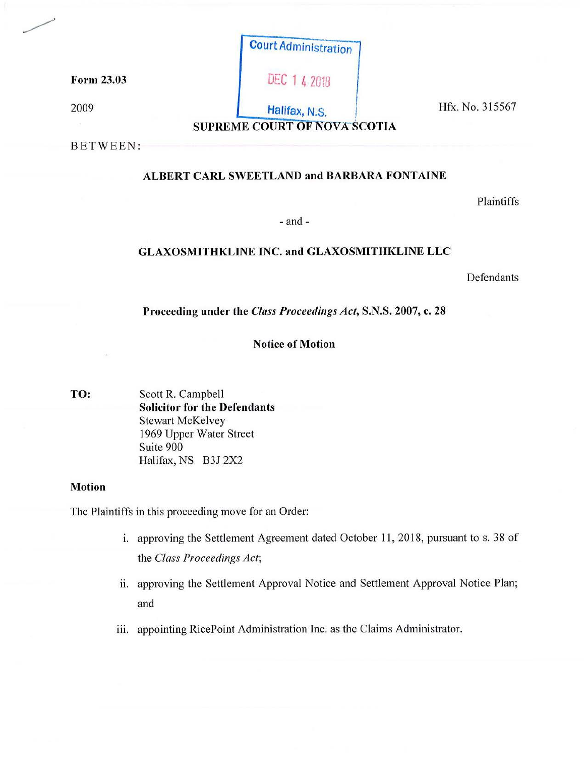|            | <b>Court Administration</b>         |
|------------|-------------------------------------|
| Form 23.03 | <b>DEC 1 4 2018</b>                 |
| 2009       | Halifax, N.S.                       |
|            | <b>SUPREME COURT OF NOVA SCOTIA</b> |

**Hfx. No. 315567** 

BETWEEN:

# **ALBERT CARL SWEETLAND and BARBARA FONTAINE**

Plaintiffs

- and -

## **GLAXOSMITHKLINE INC. and GLAXOSMITHKLINE LLC**

Defendants

Proceeding under the *Class Proceedings Act,* S.N.S. 2007, c. 28

## **Notice of Motion**

**TO:** Scott R. Campbell **Solicitor for the Defendants** Stewart McKelvey 1969 Upper Water Street Suite 900 Halifax, NS B3J 2X2

## **Motion**

The Plaintiffs in this proceeding move for an Order:

- i. approving the Settlement Agreement dated October 11, 2018, pursuant to s. 38 of the *Class Proceedings Act;*
- ii. approving the Settlement Approval Notice and Settlement Approval Notice Plan; and
- iii. appointing RicePoint Administration Inc. as the Claims Administrator.